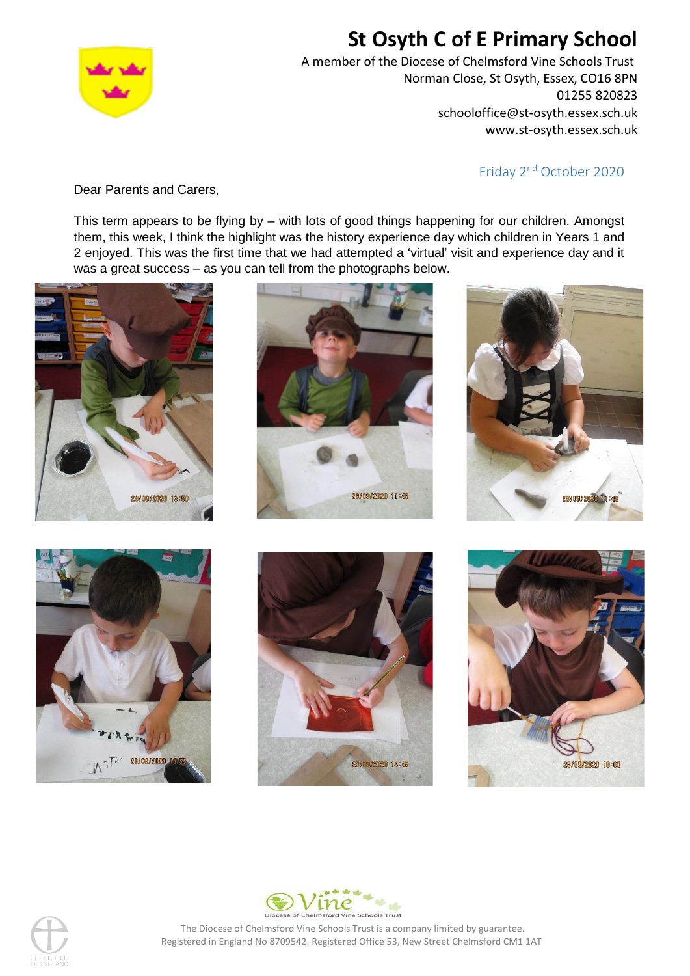

# **St Osyth C of E Primary School**

A member of the Diocese of Chelmsford Vine Schools Trust Norman Close, St Osyth, Essex, CO16 8PN 01255 820823 schooloffice@st-osyth.essex.sch.uk www.st-osyth.essex.sch.uk

## Friday 2<sup>nd</sup> October 2020

Dear Parents and Carers,

This term appears to be flying by – with lots of good things happening for our children. Amongst them, this week, I think the highlight was the history experience day which children in Years 1 and 2 enjoyed. This was the first time that we had attempted a 'virtual' visit and experience day and it was a great success – as you can tell from the photographs below.















The Diocese of Chelmsford Vine Schools Trust is a company limited by guarantee. Registered in England No 8709542. Registered Office 53, New Street Chelmsford CM1 1AT